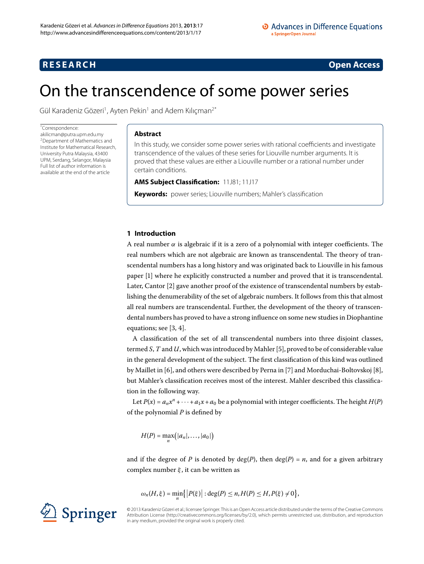## <span id="page-0-0"></span>**RESEARCH CONSTRUCTED ACCESS**

# On the transcendence of some power series

Gül Karadeniz Gözeri<sup>1</sup>, Ayten Pekin<sup>1</sup> and Adem Kılıçman<sup>[2](#page-7-1)[\\*](#page-0-0)</sup>

### \* Correspondence:

[akilicman@putra.upm.edu.my](mailto:akilicman@putra.upm.edu.my) 2Department of Mathematics and Institute for Mathematical Research, University Putra Malaysia, 43400 UPM, Serdang, Selangor, Malaysia Full list of author information is available at the end of the article

## **Abstract**

In this study, we consider some power series with rational coefficients and investigate transcendence of the values of these series for Liouville number arguments. It is proved that these values are either a Liouville number or a rational number under certain conditions.

## **AMS Subject Classification:** 11J81; 11J17

**Keywords:** power series; Liouville numbers; Mahler's classification

## **1 Introduction**

A real number *α* is algebraic if it is a zero of a polynomial with integer coefficients. The real numbers which are not algebraic are known as transcendental. The theory of transcendental numbers has a long history and was originated back to Liouville in his famous paper [\[\]](#page-7-2) where he explicitly constructed a number and proved that it is transcendental. Later, Cantor  $[2]$  $[2]$  gave another proof of the existence of transcendental numbers by establishing the denumerability of the set of algebraic numbers. It follows from this that almost all real numbers are transcendental. Further, the development of the theory of transcendental numbers has proved to have a strong influence on some new studies in Diophantine equations; see  $[3, 4]$  $[3, 4]$  $[3, 4]$ .

A classification of the set of all transcendental numbers into three disjoint classes, termed *S*, *T* and *U*, which was introduced by Mahler [\[](#page-7-6)5], proved to be of considerable value in the general development of the subject. The first classification of this kind was outlined by Maillet in [6[\]](#page-7-9), and others were described by Perna in [7] and Morduchai-Boltovskoj [8], but Mahler's classification receives most of the interest. Mahler described this classification in the following way.

Let  $P(x) = a_n x^n + \cdots + a_1 x + a_0$  be a polynomial with integer coefficients. The height  $H(P)$ of the polynomial *P* is defined by

 $H(P) = \max_{n} (|a_n|, \ldots, |a_0|)$ 

and if the degree of *P* is denoted by deg(*P*), then deg(*P*) = *n*, and for a given arbitrary complex number *ξ* , it can be written as

$$
\omega_n(H,\xi)=\min_n\{|P(\xi)|:\deg(P)\leq n, H(P)\leq H, P(\xi)\neq 0\},\,
$$

©2013 Karadeniz Gözeri et al.; licensee Springer. This is an Open Access article distributed under the terms of the Creative Commons Attribution License [\(http://creativecommons.org/licenses/by/2.0](http://creativecommons.org/licenses/by/2.0)), which permits unrestricted use, distribution, and reproduction in any medium, provided the original work is properly cited.

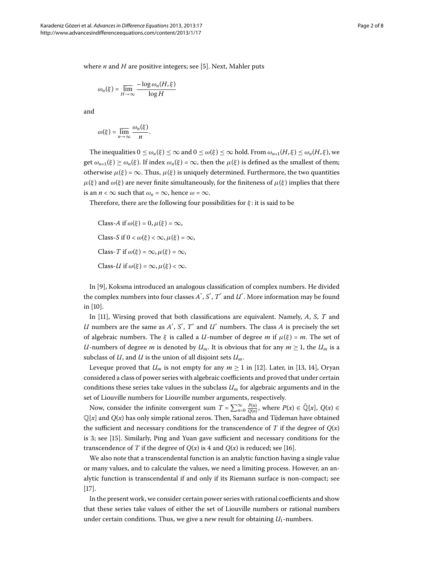where  $n$  and  $H$  are positive integers; see [5[\]](#page-7-6). Next, Mahler puts

$$
\omega_n(\xi) = \overline{\lim_{H \to \infty}} \frac{-\log \omega_n(H, \xi)}{\log H}
$$

and

$$
\omega(\xi) = \overline{\lim_{n \to \infty}} \, \frac{\omega_n(\xi)}{n}.
$$

The inequalities  $0 \le \omega_n(\xi) \le \infty$  and  $0 \le \omega(\xi) \le \infty$  hold. From  $\omega_{n+1}(H,\xi) \le \omega_n(H,\xi)$ , we get  $\omega_{n+1}(\xi) \ge \omega_n(\xi)$ . If index  $\omega_n(\xi) = \infty$ , then the  $\mu(\xi)$  is defined as the smallest of them; otherwise  $\mu(\xi) = \infty$ . Thus,  $\mu(\xi)$  is uniquely determined. Furthermore, the two quantities *μ*(*ξ*) and *ω*(*ξ*) are never finite simultaneously, for the finiteness of  $μ$ (*ξ*) implies that there is an  $n < \infty$  such that  $\omega_n = \infty$ , hence  $\omega = \infty$ .

Therefore, there are the following four possibilities for *ξ* : it is said to be

Class-A if 
$$
\omega(\xi) = 0
$$
,  $\mu(\xi) = \infty$ ,  
\nClass-S if  $0 < \omega(\xi) < \infty$ ,  $\mu(\xi) = \infty$ ,  
\nClass-T if  $\omega(\xi) = \infty$ ,  $\mu(\xi) = \infty$ ,  
\nClass-U if  $\omega(\xi) = \infty$ ,  $\mu(\xi) < \infty$ .

In [9[\]](#page-7-10), Koksma introduced an analogous classification of complex numbers. He divided the complex numbers into four classes  $A^*$  ,  $S^*$  ,  $T^*$  and  $\mathcal U^*$  . More information may be found in [\[](#page-7-11)10].

In [11], Wirsing proved that both classifications are equivalent. Namely, A, S, T and *U* numbers are the same as  $A^*$ ,  $S^*$ ,  $T^*$  and  $U^*$  numbers. The class  $A$  is precisely the set of algebraic numbers. The  $\xi$  is called a *U*-number of degree *m* if  $\mu(\xi) = m$ . The set of *U*-numbers of degree *m* is denoted by  $U_m$ . It is obvious that for any  $m \geq 1$ , the  $U_m$  is a subclass of *U*, and *U* is the union of all disjoint sets *Um*.

Leveque proved that  $U_m$  is not empty for any  $m \ge 1$  in [12[\]](#page-7-13). Later, in [13, 14], Oryan considered a class of power series with algebraic coefficients and proved that under certain conditions these series take values in the subclass *Um* for algebraic arguments and in the set of Liouville numbers for Liouville number arguments, respectively.

Now, consider the infinite convergent sum  $T = \sum_{n=0}^{\infty} \frac{P(n)}{Q(n)}$ , where  $P(x) \in \overline{\mathbb{Q}}[x]$ ,  $Q(x) \in$  $\mathbb{Q}[x]$  and  $Q(x)$  has only simple rational zeros. Then, Saradha and Tijdeman have obtained the sufficient and necessary conditions for the transcendence of *T* if the degree of  $Q(x)$ is 3; see [\[](#page-7-16)15]. Similarly, Ping and Yuan gave sufficient and necessary conditions for the transcendence of *T* if the degree of  $Q(x)$  is 4 and  $Q(x)$  is reduced; see [16[\]](#page-7-17).

We also note that a transcendental function is an analytic function having a single value or many values, and to calculate the values, we need a limiting process. However, an analytic function is transcendental if and only if its Riemann surface is non-compact; see  $[17]$  $[17]$ .

In the present work, we consider certain power series with rational coefficients and show that these series take values of either the set of Liouville numbers or rational numbers under certain conditions. Thus, we give a new result for obtaining  $U_1$ -numbers.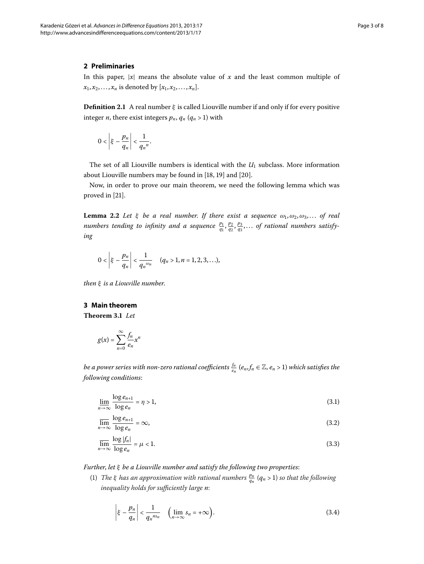## **2 Preliminaries**

In this paper,  $|x|$  means the absolute value of  $x$  and the least common multiple of  $x_1, x_2, \ldots, x_n$  is denoted by  $[x_1, x_2, \ldots, x_n]$ .

**Definition 2.1** A real number *ξ* is called Liouville number if and only if for every positive integer *n*, there exist integers  $p_n$ ,  $q_n$  ( $q_n$  > 1) with

$$
0<\left|\xi-\frac{p_n}{q_n}\right|<\frac{1}{q_n^n}.
$$

<span id="page-2-4"></span>The set of all Liouville numbers is identical with the  $U_1$  subclass. More information about Liouville numbers may be found in  $[18, 19]$  $[18, 19]$  $[18, 19]$  and  $[20]$ .

Now, in order to prove our main theorem, we need the following lemma which was proved in [21[\]](#page-7-22).

**Lemma 2.2** Let  $\xi$  be a real number. If there exist a sequence  $\omega_1, \omega_2, \omega_3, \ldots$  of real *numbers tending to infinity and a sequence*  $\frac{p_1}{q_1}, \frac{p_2}{q_2}, \frac{p_3}{q_3}, \ldots$  *of rational numbers satisfying*

<span id="page-2-5"></span>
$$
0 < \left|\xi - \frac{p_n}{q_n}\right| < \frac{1}{q_n^{\omega_n}} \quad (q_n > 1, n = 1, 2, 3, \ldots),
$$

*then ξ is a Liouville number*.

## **3 Main theorem**

<span id="page-2-0"></span>Theorem 3.1 Let

$$
g(x) = \sum_{n=0}^{\infty} \frac{f_n}{e_n} x^n
$$

<span id="page-2-3"></span><span id="page-2-2"></span>*be a power series with non-zero rational coefficients*  $\frac{f_n}{e_n}$  $(e_n,f_n\in\mathbb{Z},e_n>1)$  *which satisfies the following conditions*:

$$
\lim_{n \to \infty} \frac{\log e_{n+1}}{\log e_n} = \eta > 1,\tag{3.1}
$$

$$
\overline{\lim_{n \to \infty}} \frac{\log e_{n+1}}{\log e_n} = \infty, \tag{3.2}
$$

$$
\overline{\lim_{n \to \infty}} \frac{\log |f_n|}{\log e_n} = \mu < 1. \tag{3.3}
$$

*Further*, *let ξ be a Liouville number and satisfy the following two properties*:

(1) *The ξ has an approximation with rational numbers*  $\frac{p_n}{q_n}$  ( $q_n$  > 1) so that the following *inequality holds for sufficiently large n*:

<span id="page-2-1"></span>
$$
\left|\xi - \frac{p_n}{q_n}\right| < \frac{1}{q_n^{ns_n}} \quad \left(\lim_{n \to \infty} s_n = +\infty\right). \tag{3.4}
$$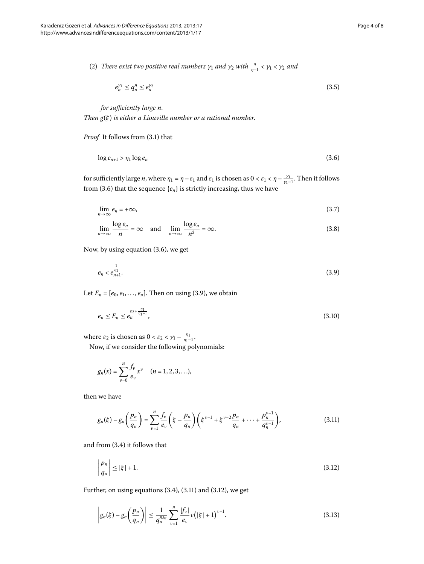(2) *There exist two positive real numbers*  $γ_1$  *and*  $γ_2$  *with*  $\frac{η}{η-1} < γ_1 < γ_2$  *and* 

<span id="page-3-6"></span><span id="page-3-0"></span>
$$
e_n^{\gamma_1} \le q_n^{\gamma_2} \le e_n^{\gamma_2} \tag{3.5}
$$

*for sufficiently large n*. *Then g*(*ξ* ) *is either a Liouville number or a rational number*.

<span id="page-3-4"></span>*Proof* It follows from (3.1) that

$$
\log e_{n+1} > \eta_1 \log e_n \tag{3.6}
$$

<span id="page-3-5"></span>for sufficiently large *n*, where  $\eta_1 = \eta - \varepsilon_1$  and  $\varepsilon_1$  is chosen as  $0 < \varepsilon_1 < \eta - \frac{\gamma_1}{\gamma_1 - 1}$ . Then it follows from (3.6) that the sequence  $\{e_n\}$  is strictly increasing, thus we have

<span id="page-3-1"></span>
$$
\lim_{n \to \infty} e_n = +\infty, \tag{3.7}
$$

$$
\lim_{n \to \infty} \frac{\log e_n}{n} = \infty \quad \text{and} \quad \lim_{n \to \infty} \frac{\log e_n}{n^2} = \infty. \tag{3.8}
$$

Now, by using equation  $(3.6)$  $(3.6)$  $(3.6)$ , we get

<span id="page-3-7"></span>
$$
e_n < e_{n+1}^{\frac{1}{\eta_1}}.\tag{3.9}
$$

Let  $E_n = [e_0, e_1, \ldots, e_n]$ [.](#page-3-1) Then on using (3.9), we obtain

$$
e_n \le E_n \le e_n^{\varepsilon_2 + \frac{\eta_1}{\eta_1 - 1}},\tag{3.10}
$$

where  $\varepsilon_2$  is chosen as  $0 < \varepsilon_2 < \gamma_1 - \frac{\eta_1}{\eta_1 - 1}$ .

Now, if we consider the following polynomials:

<span id="page-3-2"></span>
$$
g_n(x) = \sum_{v=0}^n \frac{f_v}{e_v} x^v \quad (n = 1, 2, 3, \ldots),
$$

then we have

<span id="page-3-3"></span>
$$
g_n(\xi) - g_n\left(\frac{p_n}{q_n}\right) = \sum_{\nu=1}^n \frac{f_\nu}{e_\nu} \left(\xi - \frac{p_n}{q_n}\right) \left(\xi^{\nu-1} + \xi^{\nu-2} \frac{p_n}{q_n} + \dots + \frac{p_n^{\nu-1}}{q_n^{\nu-1}}\right),\tag{3.11}
$$

and from  $(3.4)$  $(3.4)$  $(3.4)$  it follows that

<span id="page-3-8"></span>
$$
\left|\frac{p_n}{q_n}\right| \le |\xi| + 1. \tag{3.12}
$$

Further, on using equations  $(3.4)$  $(3.4)$  $(3.4)$ ,  $(3.11)$  and  $(3.12)$ , we get

$$
\left| g_n(\xi) - g_n\left(\frac{p_n}{q_n}\right) \right| \leq \frac{1}{q_n^{\max}} \sum_{\nu=1}^n \frac{|f_\nu|}{e_\nu} \nu \left(|\xi| + 1\right)^{\nu-1} . \tag{3.13}
$$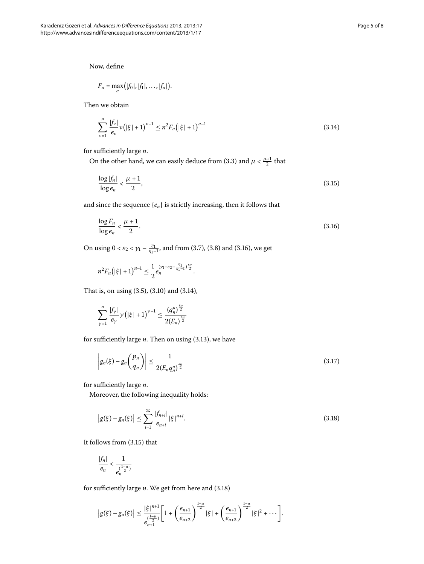Now, define

<span id="page-4-1"></span>
$$
F_n = \max_n ([f_0], [f_1], \ldots, [f_n]).
$$

Then we obtain

<span id="page-4-2"></span>
$$
\sum_{\nu=1}^{n} \frac{|f_{\nu}|}{e_{\nu}} \nu \left( |\xi| + 1 \right)^{\nu-1} \leq n^2 F_n \left( |\xi| + 1 \right)^{n-1} \tag{3.14}
$$

for sufficiently large *n*.

On the other hand, we can easily deduce from (3.3) and  $\mu < \frac{\mu+1}{2}$  that

<span id="page-4-0"></span>
$$
\frac{\log|f_n|}{\log e_n} < \frac{\mu+1}{2},\tag{3.15}
$$

and since the sequence {*en*} is strictly increasing, then it follows that

$$
\frac{\log F_n}{\log e_n} < \frac{\mu + 1}{2}.\tag{3.16}
$$

On using  $0 < \varepsilon_2 < \gamma_1 - \frac{\eta_1}{\eta_1 - 1}$ , and from (3[.](#page-4-0)7), (3.8) and (3.16), we get

$$
n^2 F_n(|\xi|+1)^{n-1} \leq \frac{1}{2} e_n^{(\gamma_1-\varepsilon_2-\frac{\eta_1}{\eta_1-1})\frac{s_n}{2}}.
$$

That is, on using  $(3.5)$  $(3.5)$  $(3.5)$ ,  $(3.10)$  and  $(3.14)$ ,

<span id="page-4-4"></span>
$$
\sum_{\gamma=1}^n \frac{|f_\gamma|}{e_\gamma} \gamma \left( |\xi| + 1 \right)^{\gamma-1} \leq \frac{(q_n^n)^{\frac{3n}{2}}}{2(E_n)^{\frac{3n}{2}}}
$$

for sufficiently large  $n$ . Then on using  $(3.13)$ , we have

<span id="page-4-3"></span>
$$
\left| g_n(\xi) - g_n\left(\frac{p_n}{q_n}\right) \right| \le \frac{1}{2\left(E_n q_n^n\right)^{\frac{5n}{2}}} \tag{3.17}
$$

for sufficiently large *n*.

Moreover, the following inequality holds:

$$
|g(\xi) - g_n(\xi)| \le \sum_{i=1}^{\infty} \frac{|f_{n+i}|}{e_{n+i}} |\xi|^{n+i}.
$$
 (3.18)

It follows from  $(3.15)$  $(3.15)$  $(3.15)$  that

$$
\frac{|f_n|}{e_n} < \frac{1}{e_n^{(\frac{1-\mu}{2})}}
$$

for sufficiently large  $n$ . We get from here and  $(3.18)$ 

$$
|g(\xi)-g_n(\xi)| \leq \frac{|\xi|^{n+1}}{e_{n+1}^{(\frac{1-\mu}{2})}}\bigg[1+\bigg(\frac{e_{n+1}}{e_{n+2}}\bigg)^{\frac{1-\mu}{2}}|\xi|+\bigg(\frac{e_{n+1}}{e_{n+3}}\bigg)^{\frac{1-\mu}{2}}|\xi|^2+\cdots\bigg].
$$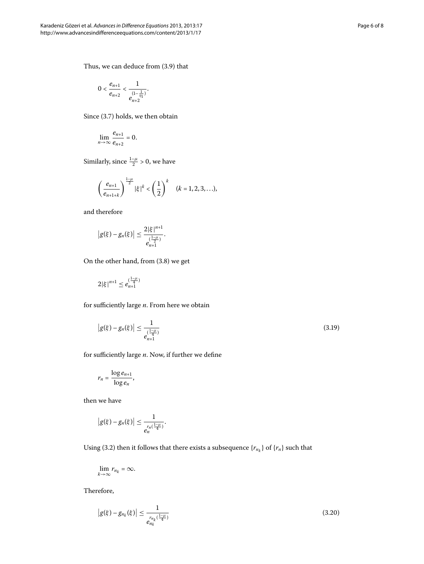Thus, we can deduce from  $(3.9)$  that

$$
0 < \frac{e_{n+1}}{e_{n+2}} < \frac{1}{e^{\frac{(1-\frac{1}{\eta_1})}{n_2}}}.
$$

Since  $(3.7)$  $(3.7)$  $(3.7)$  holds, we then obtain

$$
\lim_{n\to\infty}\frac{e_{n+1}}{e_{n+2}}=0.
$$

Similarly, since  $\frac{1-\mu}{2} > 0$ , we have

$$
\left(\frac{e_{n+1}}{e_{n+1+k}}\right)^{\frac{1-\mu}{2}}|\xi|^k < \left(\frac{1}{2}\right)^k \quad (k=1,2,3,\ldots),
$$

and therefore

$$
|g(\xi)-g_n(\xi)|\leq \frac{2|\xi|^{n+1}}{e_{n+1}^{(\frac{1-n}{2})}}.
$$

On the other hand, from  $(3.8)$  $(3.8)$  $(3.8)$  we get

$$
2|\xi|^{n+1} \le e_{n+1}^{(\frac{1-\mu}{4})}
$$

for sufficiently large *n*. From here we obtain

$$
|g(\xi) - g_n(\xi)| \le \frac{1}{e_{n+1}^{\left(\frac{1-\mu}{4}\right)}}\tag{3.19}
$$

for sufficiently large *n*. Now, if further we define

$$
r_n = \frac{\log e_{n+1}}{\log e_n},
$$

then we have

$$
|g(\xi)-g_n(\xi)|\leq \frac{1}{e_n^{r_n(\frac{1-\mu}{4})}}.
$$

Using (3.2) then it follows that there exists a subsequence  $\{r_{n_k}\}$  of  $\{r_n\}$  such that

<span id="page-5-0"></span>
$$
\lim_{k\to\infty}r_{n_k}=\infty.
$$

Therefore,

$$
|g(\xi) - g_{n_k}(\xi)| \le \frac{1}{e_{n_k}^{r_{n_k}(\frac{1-\mu}{4})}}
$$
\n(3.20)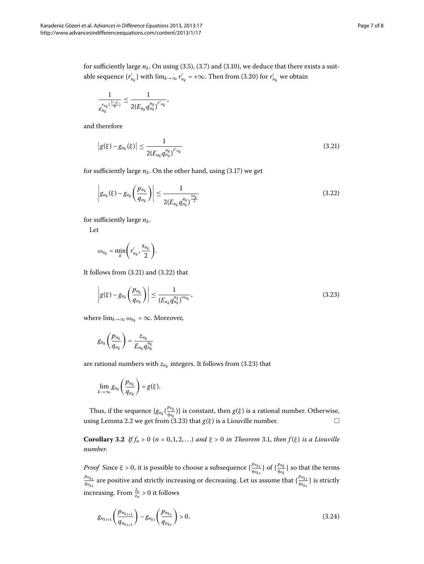for sufficiently large  $n_k$ . On using (3.5), (3.7) and (3.10), we deduce that there exists a suitable sequence  $\{r'_{n_k}\}$  with  $\lim_{k\to\infty} r'_{n_k}$  = + $\infty$ . Then from (3.20) for  $r'_{n_k}$  we obtain

<span id="page-6-0"></span>
$$
\frac{1}{e_{n_k}^{r_{n_k}(\frac{1-\mu}{4})}} \leq \frac{1}{2(E_{n_k}q_{n_k}^{n_k})^{r'_{n_k}}},
$$

and therefore

<span id="page-6-1"></span>
$$
|g(\xi) - g_{n_k}(\xi)| \le \frac{1}{2(E_{n_k} q_{n_k}^{n_k})^{r'n_k}}
$$
\n(3.21)

for sufficiently large  $n_k$ . On the other hand, using (3.17) we get

$$
\left| g_{n_k}(\xi) - g_{n_k} \left( \frac{p_{n_k}}{q_{n_k}} \right) \right| \le \frac{1}{2(E_{n_k} q_{n_k}^{n_k})^{\frac{s_{n_k}}{2}}} \tag{3.22}
$$

for sufficiently large  $n_k$ .

Let

<span id="page-6-2"></span>
$$
\omega_{n_k} = \min_k \left(r'_{n_k}, \frac{s_{n_k}}{2}\right).
$$

It follows from  $(3.21)$  $(3.21)$  $(3.21)$  and  $(3.22)$  that

$$
\left| g(\xi) - g_{n_k} \left( \frac{p_{n_k}}{q_{n_k}} \right) \right| \leq \frac{1}{\left( E_{n_k} q_{n_k}^{n_k} \right)^{\omega_{n_k}}},\tag{3.23}
$$

where  $\lim_{k\to\infty} \omega_{n_k} = \infty$ . Moreover,

$$
g_{n_k}\left(\frac{p_{n_k}}{q_{n_k}}\right)=\frac{z_{n_k}}{E_{n_k}q_{n_k}^{n_k}}
$$

are rational numbers with  $z_{n_k}$  integers[.](#page-6-2) It follows from (3.23) that

$$
\lim_{k\to\infty}g_{n_k}\left(\frac{p_{n_k}}{q_{n_k}}\right)=g(\xi).
$$

Thus, if the sequence  $\{g_{n_k}(\frac{p_{n_k}}{q_{n_k}})\}$  $\left\{\frac{Pn_k}{q_{n_k}}\right\}$  is constant, then *g*(*ξ*) is a rational number. Otherwise, using Lemma 2[.](#page-2-4)2 we get from (3.23) that  $g(\xi)$  is a Liouville number.  $\hfill \Box$ 

**Corollary 3[.](#page-2-5)2** *If*  $f_n > 0$  ( $n = 0, 1, 2, ...$ ) and  $\xi > 0$  in Theorem 3.1, then  $f(\xi)$  is a Liouville *number*.

*Proof* Since  $\xi > 0$ , it is possible to choose a subsequence  $\{\frac{p_{n_{k}}}{q_{n_{k}}}$  $\frac{p_{n_{kt}}}{q_{n_{kt}}}$ } of { $\frac{p_{n_k}}{q_{n_k}}$  $\frac{pm_k}{q_{n_k}}$ } so that the terms *pnk <sup>t</sup>*  $\frac{p_{n_{kt}}}{q_{n_{kt}}}$  are positive and strictly increasing or decreasing. Let us assume that  $\{\frac{p_{n_{kt}}}{q_{n_{kt}}}$  $\frac{P^{n_{kt}}}{q_{n_{kt}}}$ } is strictly increasing. From  $\frac{f_n}{e_n} > 0$  it follows

<span id="page-6-3"></span>
$$
g_{n_{k_{t+1}}} \left( \frac{p_{n_{k_{t+1}}}}{q_{n_{k_{t+1}}}} \right) - g_{n_{k_t}} \left( \frac{p_{n_{k_t}}}{q_{n_{k_t}}} \right) > 0. \tag{3.24}
$$